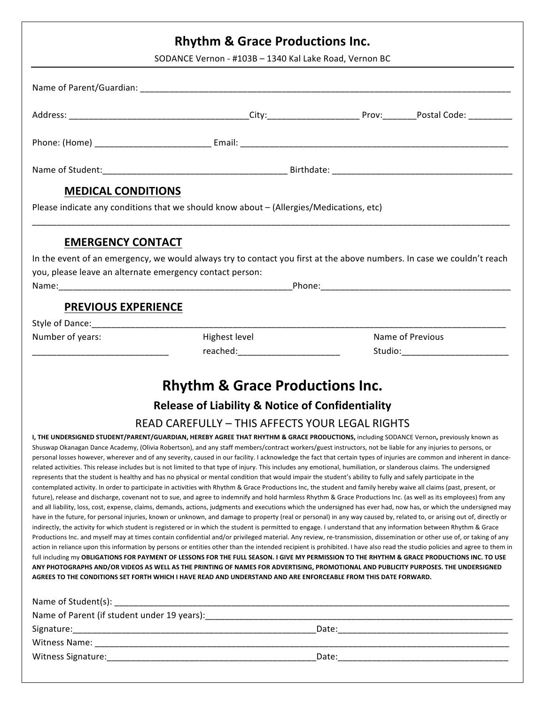| <b>Rhythm &amp; Grace Productions Inc.</b><br>SODANCE Vernon - #103B - 1340 Kal Lake Road, Vernon BC |                                                                                         |                                                                                                                        |  |  |
|------------------------------------------------------------------------------------------------------|-----------------------------------------------------------------------------------------|------------------------------------------------------------------------------------------------------------------------|--|--|
|                                                                                                      |                                                                                         |                                                                                                                        |  |  |
|                                                                                                      |                                                                                         |                                                                                                                        |  |  |
|                                                                                                      |                                                                                         |                                                                                                                        |  |  |
|                                                                                                      |                                                                                         |                                                                                                                        |  |  |
| <b>MEDICAL CONDITIONS</b>                                                                            |                                                                                         |                                                                                                                        |  |  |
|                                                                                                      | Please indicate any conditions that we should know about - (Allergies/Medications, etc) |                                                                                                                        |  |  |
| <b>EMERGENCY CONTACT</b>                                                                             |                                                                                         |                                                                                                                        |  |  |
|                                                                                                      |                                                                                         | In the event of an emergency, we would always try to contact you first at the above numbers. In case we couldn't reach |  |  |
|                                                                                                      |                                                                                         |                                                                                                                        |  |  |
|                                                                                                      |                                                                                         |                                                                                                                        |  |  |
| you, please leave an alternate emergency contact person:<br><b>PREVIOUS EXPERIENCE</b>               |                                                                                         |                                                                                                                        |  |  |
|                                                                                                      |                                                                                         |                                                                                                                        |  |  |
| Number of years:                                                                                     | Highest level                                                                           | Name of Previous                                                                                                       |  |  |

# **Release of Liability & Notice of Confidentiality**

### READ CAREFULLY - THIS AFFECTS YOUR LEGAL RIGHTS

**I, THE UNDERSIGNED STUDENT/PARENT/GUARDIAN, HEREBY AGREE THAT RHYTHM & GRACE PRODUCTIONS, including SODANCE Vernon, previously known as** Shuswap Okanagan Dance Academy, (Olivia Robertson), and any staff members/contract workers/guest instructors, not be liable for any injuries to persons, or personal losses however, wherever and of any severity, caused in our facility. I acknowledge the fact that certain types of injuries are common and inherent in dancerelated activities. This release includes but is not limited to that type of injury. This includes any emotional, humiliation, or slanderous claims. The undersigned represents that the student is healthy and has no physical or mental condition that would impair the student's ability to fully and safely participate in the contemplated activity. In order to participate in activities with Rhythm & Grace Productions Inc, the student and family hereby waive all claims (past, present, or future), release and discharge, covenant not to sue, and agree to indemnify and hold harmless Rhythm & Grace Productions Inc. (as well as its employees) from any and all liability, loss, cost, expense, claims, demands, actions, judgments and executions which the undersigned has ever had, now has, or which the undersigned may have in the future, for personal injuries, known or unknown, and damage to property (real or personal) in any way caused by, related to, or arising out of, directly or indirectly, the activity for which student is registered or in which the student is permitted to engage. I understand that any information between Rhythm & Grace Productions Inc. and myself may at times contain confidential and/or privileged material. Any review, re-transmission, dissemination or other use of, or taking of any action in reliance upon this information by persons or entities other than the intended recipient is prohibited. I have also read the studio policies and agree to them in full including my OBLIGATIONS FOR PAYMENT OF LESSONS FOR THE FULL SEASON. I GIVE MY PERMISSION TO THE RHYTHM & GRACE PRODUCTIONS INC. TO USE ANY PHOTOGRAPHS AND/OR VIDEOS AS WELL AS THE PRINTING OF NAMES FOR ADVERTISING, PROMOTIONAL AND PUBLICITY PURPOSES. THE UNDERSIGNED AGREES TO THE CONDITIONS SET FORTH WHICH I HAVE READ AND UNDERSTAND AND ARE ENFORCEABLE FROM THIS DATE FORWARD.

| Name of Student(s):                         |       |  |  |  |
|---------------------------------------------|-------|--|--|--|
| Name of Parent (if student under 19 years): |       |  |  |  |
| Signature:                                  | Date: |  |  |  |
| Witness Name:                               |       |  |  |  |
| Witness Signature:                          | Date: |  |  |  |
|                                             |       |  |  |  |